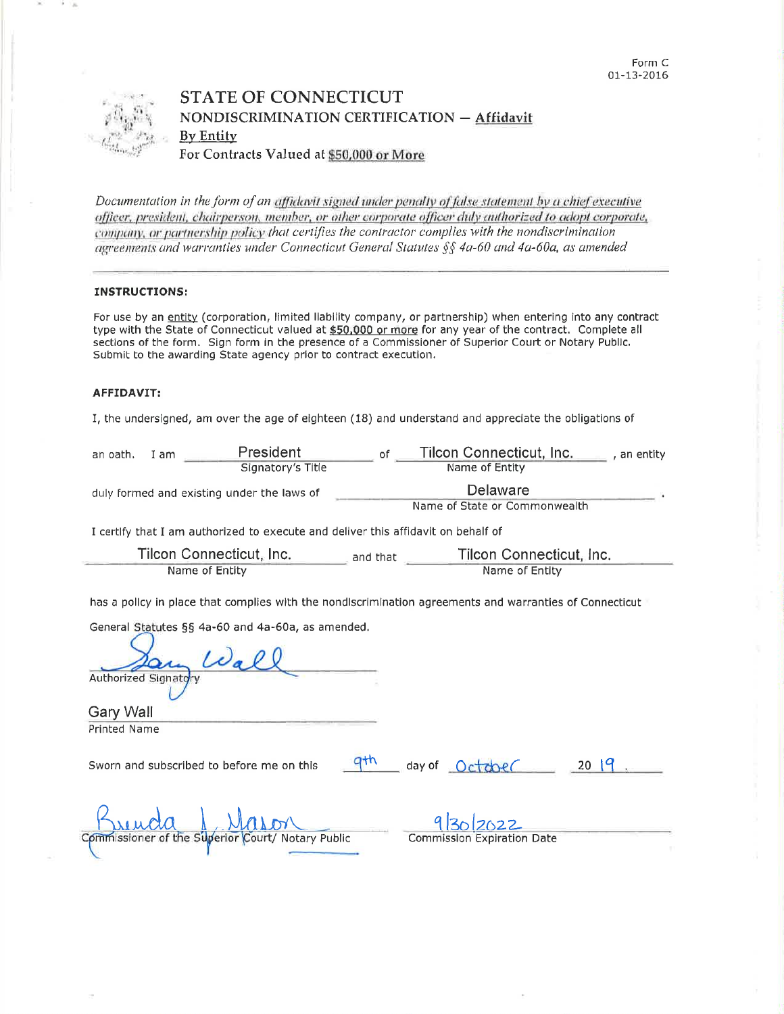

## **STATE OF CONNECTICUT** NONDISCRIMINATION CERTIFICATION - Affidavit **By Entity** For Contracts Valued at \$50,000 or More

Documentation in the form of an affidavit signed under penalty of false statement by a chief executive officer, president, chairperson, member, or other corporate officer duly authorized to adopt corporate, company, or partnership policy that certifies the contractor complies with the nondiscrimination agreements and warranties under Connecticut General Statutes §§ 4a-60 and 4a-60a, as amended

## **INSTRUCTIONS:**

For use by an entity (corporation, limited liability company, or partnership) when entering into any contract type with the State of Connecticut valued at \$50,000 or more for any year of the contract. Complete all sections of the form. Sign form in the presence of a Commissioner of Superior Court or Notary Public. Submit to the awarding State agency prior to contract execution.

## AFFIDAVIT:

I, the undersigned, am over the age of eighteen (18) and understand and appreciate the obligations of

| an oath.<br>I am                                                                                        | President<br>Signatory's Title                    | of                                                     | Tilcon Connecticut, Inc.___<br>Name of Entity | an entity |
|---------------------------------------------------------------------------------------------------------|---------------------------------------------------|--------------------------------------------------------|-----------------------------------------------|-----------|
| duly formed and existing under the laws of                                                              |                                                   | Delaware<br>Name of State or Commonwealth              |                                               |           |
| I certify that I am authorized to execute and deliver this affidavit on behalf of                       |                                                   |                                                        |                                               |           |
| Tilcon Connecticut, Inc.<br>Name of Entity                                                              |                                                   | Tilcon Connecticut, Inc.<br>and that<br>Name of Entity |                                               |           |
| has a policy in place that complies with the nondiscrimination agreements and warranties of Connecticut |                                                   |                                                        |                                               |           |
| Authorized Signatory                                                                                    | General Statutes §§ 4a-60 and 4a-60a, as amended. |                                                        |                                               |           |
| Gary Wall<br>Printed Name                                                                               |                                                   |                                                        |                                               |           |
| Sworn and subscribed to before me on this                                                               |                                                   | ath                                                    | day of October                                | 2019      |
| Commissioner of the Superior Court/ Notary Public                                                       |                                                   |                                                        | <b>Commission Expiration Date</b>             |           |